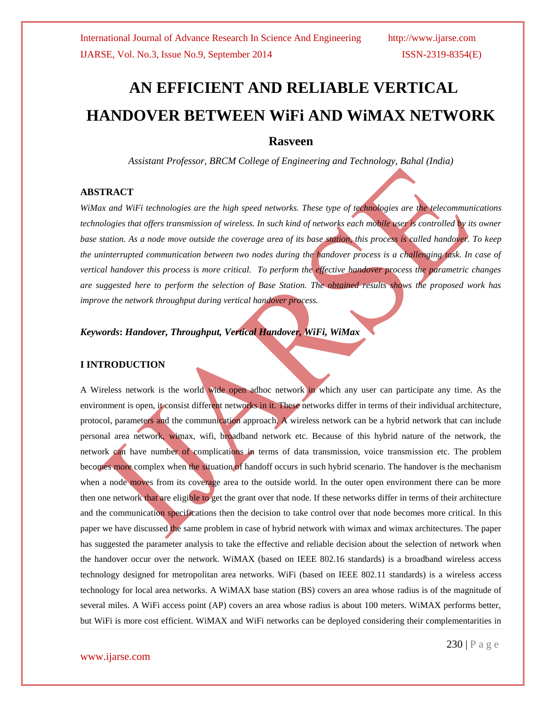# **AN EFFICIENT AND RELIABLE VERTICAL HANDOVER BETWEEN WiFi AND WiMAX NETWORK**

## **Rasveen**

*Assistant Professor, BRCM College of Engineering and Technology, Bahal (India)*

## **ABSTRACT**

*WiMax and WiFi technologies are the high speed networks. These type of technologies are the telecommunications technologies that offers transmission of wireless. In such kind of networks each mobile user is controlled by its owner*  base station. As a node move outside the coverage area of its base station, this process is called handover. To keep *the uninterrupted communication between two nodes during the handover process is a challenging task. In case of vertical handover this process is more critical. To perform the effective handover process the parametric changes are suggested here to perform the selection of Base Station. The obtained results shows the proposed work has improve the network throughput during vertical handover process.*

## *Keywords***:** *Handover, Throughput, Vertical Handover, WiFi, WiMax*

## **I INTRODUCTION**

A Wireless network is the world wide open adhoc network in which any user can participate any time. As the environment is open, it consist different networks in it. These networks differ in terms of their individual architecture, protocol, parameters and the communication approach. A wireless network can be a hybrid network that can include personal area network, wimax, wifi, broadband network etc. Because of this hybrid nature of the network, the network can have number of complications in terms of data transmission, voice transmission etc. The problem becomes more complex when the situation of handoff occurs in such hybrid scenario. The handover is the mechanism when a node moves from its coverage area to the outside world. In the outer open environment there can be more then one network that are eligible to get the grant over that node. If these networks differ in terms of their architecture and the communication specifications then the decision to take control over that node becomes more critical. In this paper we have discussed the same problem in case of hybrid network with wimax and wimax architectures. The paper has suggested the parameter analysis to take the effective and reliable decision about the selection of network when the handover occur over the network. WiMAX (based on IEEE 802.16 standards) is a broadband wireless access technology designed for metropolitan area networks. WiFi (based on IEEE 802.11 standards) is a wireless access technology for local area networks. A WiMAX base station (BS) covers an area whose radius is of the magnitude of several miles. A WiFi access point (AP) covers an area whose radius is about 100 meters. WiMAX performs better, but WiFi is more cost efficient. WiMAX and WiFi networks can be deployed considering their complementarities in

## www.ijarse.com

230 | P a g e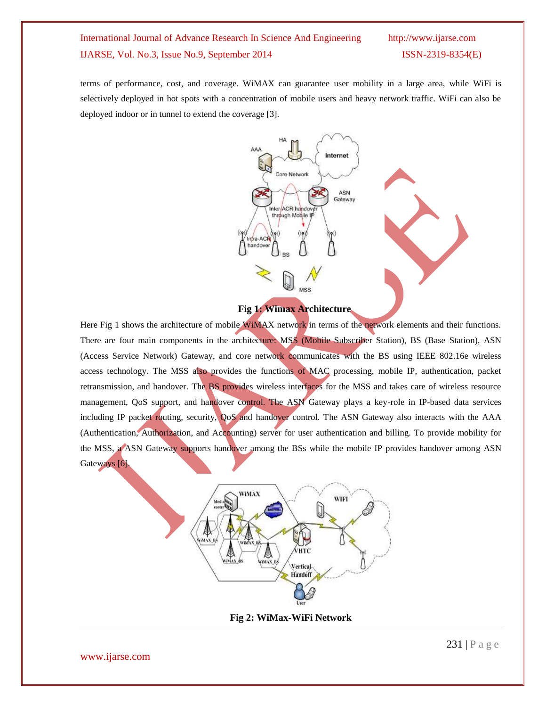terms of performance, cost, and coverage. WiMAX can guarantee user mobility in a large area, while WiFi is selectively deployed in hot spots with a concentration of mobile users and heavy network traffic. WiFi can also be deployed indoor or in tunnel to extend the coverage [3].



## **Fig 1: Wimax Architecture**

Here Fig 1 shows the architecture of mobile WiMAX network in terms of the network elements and their functions. There are four main components in the architecture: MSS (Mobile Subscriber Station), BS (Base Station), ASN (Access Service Network) Gateway, and core network communicates with the BS using IEEE 802.16e wireless access technology. The MSS also provides the functions of MAC processing, mobile IP, authentication, packet retransmission, and handover. The BS provides wireless interfaces for the MSS and takes care of wireless resource management, QoS support, and handover control. The ASN Gateway plays a key-role in IP-based data services including IP packet routing, security, QoS and handover control. The ASN Gateway also interacts with the AAA (Authentication, Authorization, and Accounting) server for user authentication and billing. To provide mobility for the MSS, a ASN Gateway supports handover among the BSs while the mobile IP provides handover among ASN Gateways [6].



**Fig 2: WiMax-WiFi Network**

www.ijarse.com

231 | P a g e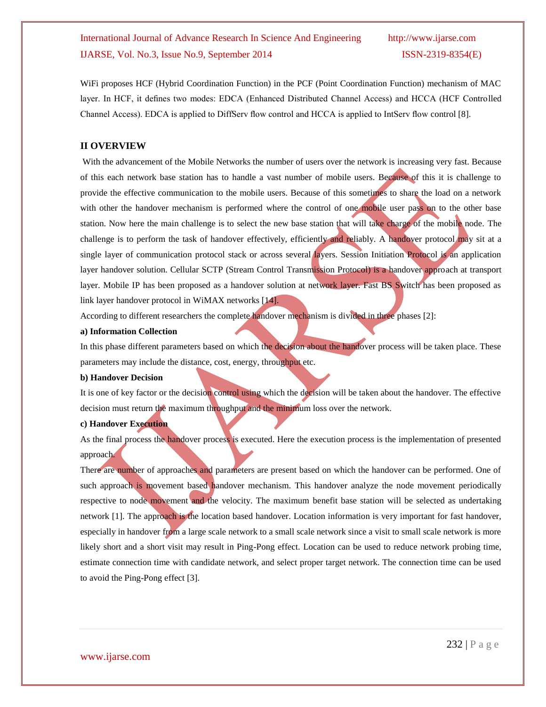WiFi proposes HCF (Hybrid Coordination Function) in the PCF (Point Coordination Function) mechanism of MAC layer. In HCF, it defines two modes: EDCA (Enhanced Distributed Channel Access) and HCCA (HCF Controlled Channel Access). EDCA is applied to DiffServ flow control and HCCA is applied to IntServ flow control [8].

## **II OVERVIEW**

With the advancement of the Mobile Networks the number of users over the network is increasing very fast. Because of this each network base station has to handle a vast number of mobile users. Because of this it is challenge to provide the effective communication to the mobile users. Because of this sometimes to share the load on a network with other the handover mechanism is performed where the control of one mobile user pass on to the other base station. Now here the main challenge is to select the new base station that will take charge of the mobile node. The challenge is to perform the task of handover effectively, efficiently and reliably. A handover protocol may sit at a single layer of communication protocol stack or across several *layers*. Session Initiation Protocol is an application layer handover solution. Cellular SCTP (Stream Control Transmission Protocol) is a handover approach at transport layer. Mobile IP has been proposed as a handover solution at network layer. Fast BS Switch has been proposed as link layer handover protocol in WiMAX networks [14].

According to different researchers the complete handover mechanism is divided in three phases [2]:

#### **a) Information Collection**

In this phase different parameters based on which the decision about the handover process will be taken place. These parameters may include the distance, cost, energy, throughput etc.

#### **b) Handover Decision**

It is one of key factor or the decision control using which the decision will be taken about the handover. The effective decision must return the maximum throughput and the minimum loss over the network.

## **c) Handover Execution**

As the final process the handover process is executed. Here the execution process is the implementation of presented approach.

There are number of approaches and parameters are present based on which the handover can be performed. One of such approach is movement based handover mechanism. This handover analyze the node movement periodically respective to node movement and the velocity. The maximum benefit base station will be selected as undertaking network [1]. The approach is the location based handover. Location information is very important for fast handover, especially in handover from a large scale network to a small scale network since a visit to small scale network is more likely short and a short visit may result in Ping-Pong effect. Location can be used to reduce network probing time, estimate connection time with candidate network, and select proper target network. The connection time can be used to avoid the Ping-Pong effect [3].

## www.ijarse.com

232 | P a g e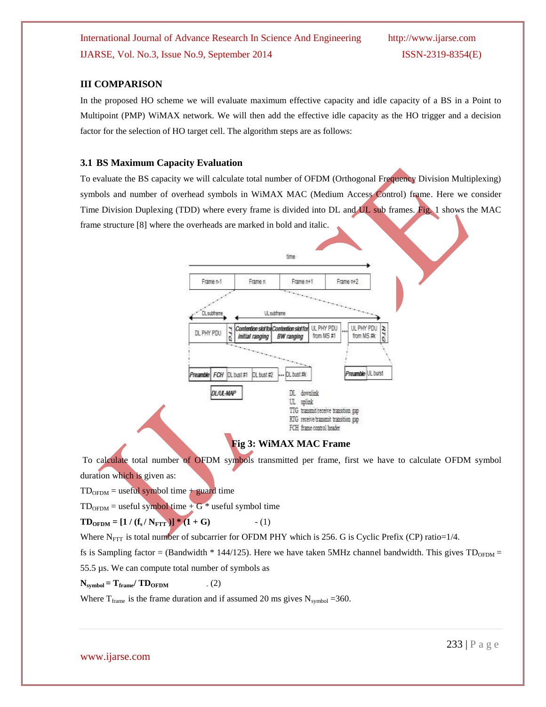## **III COMPARISON**

In the proposed HO scheme we will evaluate maximum effective capacity and idle capacity of a BS in a Point to Multipoint (PMP) WiMAX network. We will then add the effective idle capacity as the HO trigger and a decision factor for the selection of HO target cell. The algorithm steps are as follows:

## **3.1 BS Maximum Capacity Evaluation**

To evaluate the BS capacity we will calculate total number of OFDM (Orthogonal Frequency Division Multiplexing) symbols and number of overhead symbols in WiMAX MAC (Medium Access Control) frame. Here we consider Time Division Duplexing (TDD) where every frame is divided into DL and UL sub frames. Fig. 1 shows the MAC frame structure [8] where the overheads are marked in bold and italic.

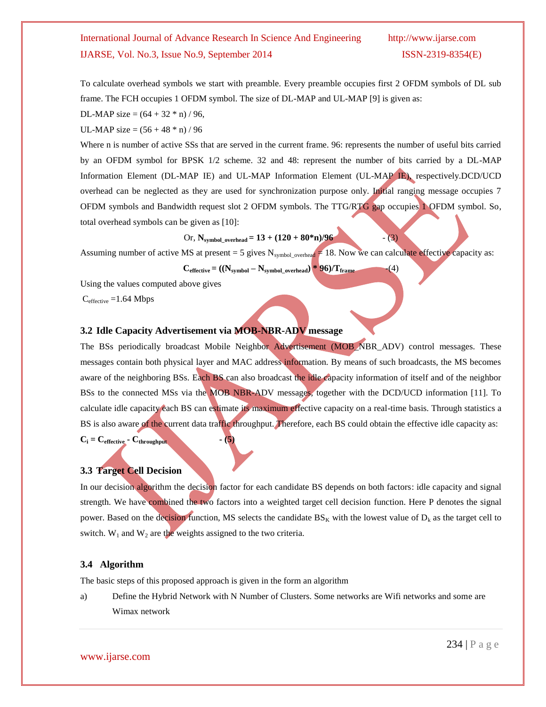To calculate overhead symbols we start with preamble. Every preamble occupies first 2 OFDM symbols of DL sub frame. The FCH occupies 1 OFDM symbol. The size of DL-MAP and UL-MAP [9] is given as:

DL-MAP size =  $(64 + 32 * n) / 96$ ,

UL-MAP size =  $(56 + 48 * n) / 96$ 

Where n is number of active SSs that are served in the current frame. 96: represents the number of useful bits carried by an OFDM symbol for BPSK 1/2 scheme. 32 and 48: represent the number of bits carried by a DL-MAP Information Element (DL-MAP IE) and UL-MAP Information Element (UL-MAP IE), respectively.DCD/UCD overhead can be neglected as they are used for synchronization purpose only. Initial ranging message occupies 7 OFDM symbols and Bandwidth request slot 2 OFDM symbols. The TTG/RTG gap occupies 1 OFDM symbol. So, total overhead symbols can be given as [10]:

Or, N<sub>symbol-overhead</sub> = 
$$
13 + (120 + 80 \cdot n)/96
$$
 (3)

Assuming number of active MS at present = 5 gives  $N_{symbol\_overhead} \neq 18$ . Now we can calculate effective capacity as:

 $\mathbf{C}_{\text{effective}} = ((\mathbf{N}_{\text{symbol}} - \mathbf{N}_{\text{symbol\_overhead}}) * \mathbf{96})/\mathbf{T}_{\text{frame}}$  (4)

Using the values computed above gives

 $C_{\text{effective}} = 1.64 \text{ Mbps}$ 

## **3.2 Idle Capacity Advertisement via MOB-NBR-ADV message**

The BSs periodically broadcast Mobile Neighbor Advertisement (MOB\_NBR\_ADV) control messages. These messages contain both physical layer and MAC address information. By means of such broadcasts, the MS becomes aware of the neighboring BSs. Each BS can also broadcast the idle capacity information of itself and of the neighbor BSs to the connected MSs via the MOB NBR-ADV messages, together with the DCD/UCD information [11]. To calculate idle capacity each BS can estimate its maximum effective capacity on a real-time basis. Through statistics a BS is also aware of the current data traffic throughput. Therefore, each BS could obtain the effective idle capacity as:  $C_i = C_{\text{effective}} \cdot C_{\text{throughput}}$  **-** (5)

## **3.3 Target Cell Decision**

In our decision algorithm the decision factor for each candidate BS depends on both factors: idle capacity and signal strength. We have combined the two factors into a weighted target cell decision function. Here P denotes the signal power. Based on the decision function, MS selects the candidate  $BS_K$  with the lowest value of  $D_k$  as the target cell to switch.  $W_1$  and  $W_2$  are the weights assigned to the two criteria.

## **3.4 Algorithm**

The basic steps of this proposed approach is given in the form an algorithm

a) Define the Hybrid Network with N Number of Clusters. Some networks are Wifi networks and some are Wimax network

www.ijarse.com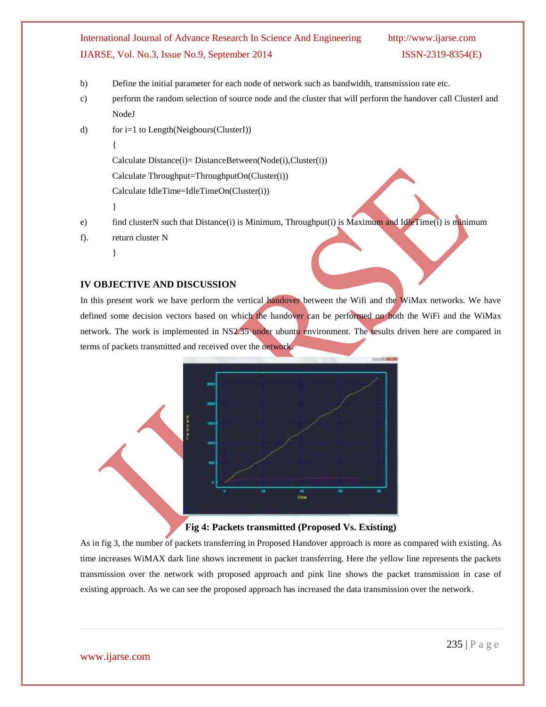- b) Define the initial parameter for each node of network such as bandwidth, transmission rate etc.
- c) perform the random selection of source node and the cluster that will perform the handover call ClusterI and NodeJ
- d) for i=1 to Length(Neigbours(ClusterI))
	- {

Calculate Distance(i)= DistanceBetween(Node(i),Cluster(i))

Calculate Throughput=ThroughputOn(Cluster(i))

Calculate IdleTime=IdleTimeOn(Cluster(i))

}

e) find clusterN such that Distance(i) is Minimum, Throughput(i) is Maximum and IdleTime(i) is minimum

```
f). return cluster N
```
}

## **IV OBJECTIVE AND DISCUSSION**

In this present work we have perform the vertical handover between the Wifi and the WiMax networks. We have defined some decision vectors based on which the handover can be performed on both the WiFi and the WiMax network. The work is implemented in NS2.35 under ubuntu environment. The results driven here are compared in terms of packets transmitted and received over the network.



## **Fig 4: Packets transmitted (Proposed Vs. Existing)**

As in fig 3, the number of packets transferring in Proposed Handover approach is more as compared with existing. As time increases WiMAX dark line shows increment in packet transferring. Here the yellow line represents the packets transmission over the network with proposed approach and pink line shows the packet transmission in case of existing approach. As we can see the proposed approach has increased the data transmission over the network.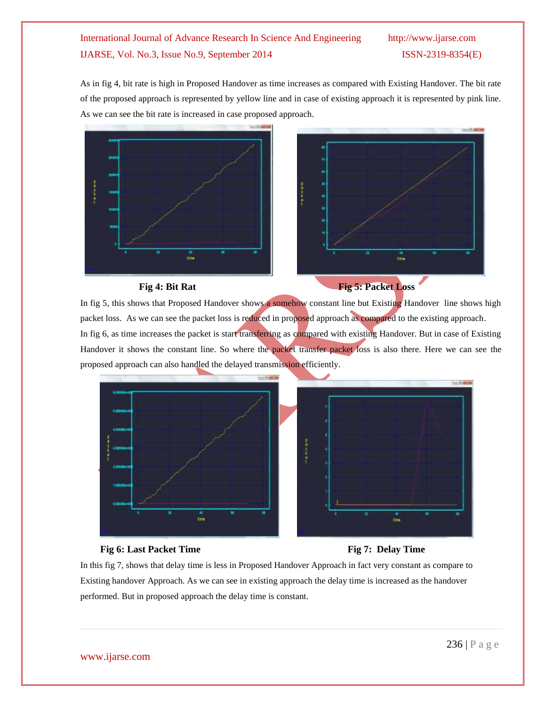As in fig 4, bit rate is high in Proposed Handover as time increases as compared with Existing Handover. The bit rate of the proposed approach is represented by yellow line and in case of existing approach it is represented by pink line. As we can see the bit rate is increased in case proposed approach.





In fig 5, this shows that Proposed Handover shows a somehow constant line but Existing Handover line shows high packet loss. As we can see the packet loss is reduced in proposed approach as compared to the existing approach. In fig 6, as time increases the packet is start transferring as compared with existing Handover. But in case of Existing Handover it shows the constant line. So where the packet transfer packet loss is also there. Here we can see the proposed approach can also handled the delayed transmission efficiently.



## **Fig 6:** Last Packet Time Fig 7: Delay Time

In this fig 7, shows that delay time is less in Proposed Handover Approach in fact very constant as compare to Existing handover Approach. As we can see in existing approach the delay time is increased as the handover performed. But in proposed approach the delay time is constant.